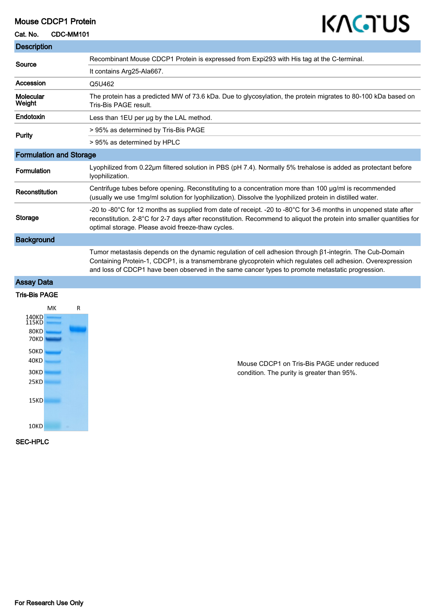## Mouse CDCP1 Protein

Cat. No. CDC-MM101

## KAGTUS

| <b>Description</b>                                                                                                                                                                                                                                                                                                        |  |
|---------------------------------------------------------------------------------------------------------------------------------------------------------------------------------------------------------------------------------------------------------------------------------------------------------------------------|--|
| Recombinant Mouse CDCP1 Protein is expressed from Expi293 with His tag at the C-terminal.                                                                                                                                                                                                                                 |  |
| It contains Arg25-Ala667.                                                                                                                                                                                                                                                                                                 |  |
| Q5U462                                                                                                                                                                                                                                                                                                                    |  |
| The protein has a predicted MW of 73.6 kDa. Due to glycosylation, the protein migrates to 80-100 kDa based on<br>Tris-Bis PAGE result.                                                                                                                                                                                    |  |
| Less than 1EU per ug by the LAL method.                                                                                                                                                                                                                                                                                   |  |
| > 95% as determined by Tris-Bis PAGE                                                                                                                                                                                                                                                                                      |  |
| > 95% as determined by HPLC                                                                                                                                                                                                                                                                                               |  |
| <b>Formulation and Storage</b>                                                                                                                                                                                                                                                                                            |  |
| Lyophilized from 0.22µm filtered solution in PBS (pH 7.4). Normally 5% trehalose is added as protectant before<br>lyophilization.                                                                                                                                                                                         |  |
| Centrifuge tubes before opening. Reconstituting to a concentration more than 100 µg/ml is recommended<br>(usually we use 1mg/ml solution for lyophilization). Dissolve the lyophilized protein in distilled water.                                                                                                        |  |
| -20 to -80°C for 12 months as supplied from date of receipt. -20 to -80°C for 3-6 months in unopened state after<br>reconstitution. 2-8°C for 2-7 days after reconstitution. Recommend to aliquot the protein into smaller quantities for<br>optimal storage. Please avoid freeze-thaw cycles.                            |  |
|                                                                                                                                                                                                                                                                                                                           |  |
| Tumor metastasis depends on the dynamic regulation of cell adhesion through β1-integrin. The Cub-Domain<br>Containing Protein-1, CDCP1, is a transmembrane glycoprotein which regulates cell adhesion. Overexpression<br>and loss of CDCP1 have been observed in the same cancer types to promote metastatic progression. |  |
|                                                                                                                                                                                                                                                                                                                           |  |
|                                                                                                                                                                                                                                                                                                                           |  |
| Mouse CDCP1 on Tris-Bis PAGE under reduced<br>condition. The purity is greater than 95%.                                                                                                                                                                                                                                  |  |
|                                                                                                                                                                                                                                                                                                                           |  |

SEC-HPLC